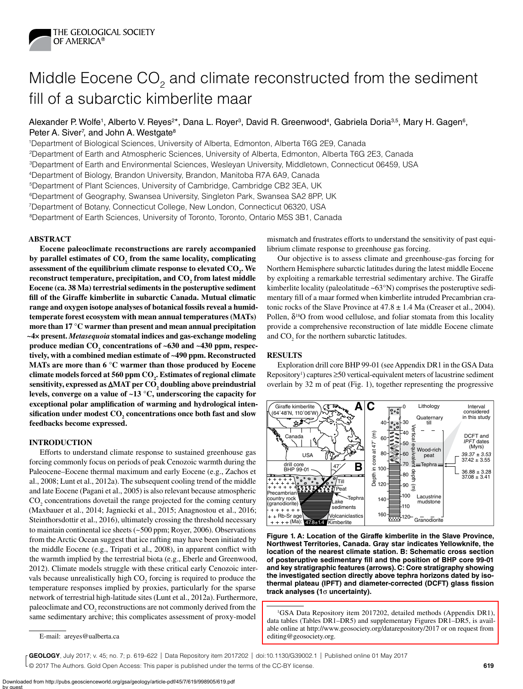

# Middle Eocene CO<sub>2</sub> and climate reconstructed from the sediment fill of a subarctic kimberlite maar

Alexander P. Wolfe<sup>1</sup>, Alberto V. Reyes<sup>2\*</sup>, Dana L. Royer<sup>3</sup>, David R. Greenwood<sup>4</sup>, Gabriela Doria<sup>3,5</sup>, Mary H. Gagen<sup>6</sup>, Peter A. Siver<sup>7</sup>, and John A. Westgate<sup>8</sup>

1Department of Biological Sciences, University of Alberta, Edmonton, Alberta T6G 2E9, Canada 2Department of Earth and Atmospheric Sciences, University of Alberta, Edmonton, Alberta T6G 2E3, Canada 3Department of Earth and Environmental Sciences, Wesleyan University, Middletown, Connecticut 06459, USA 4Department of Biology, Brandon University, Brandon, Manitoba R7A 6A9, Canada 5Department of Plant Sciences, University of Cambridge, Cambridge CB2 3EA, UK

6Department of Geography, Swansea University, Singleton Park, Swansea SA2 8PP, UK

7Department of Botany, Connecticut College, New London, Connecticut 06320, USA

8Department of Earth Sciences, University of Toronto, Toronto, Ontario M5S 3B1, Canada

## **ABSTRACT**

**Eocene paleoclimate reconstructions are rarely accompanied**  by parallel estimates of  $CO_2$  from the same locality, complicating assessment of the equilibrium climate response to elevated  $\mathrm{CO}_2$ . We reconstruct temperature, precipitation, and  $CO_2$  from latest middle **Eocene (ca. 38 Ma) terrestrial sediments in the posteruptive sediment fill of the Giraffe kimberlite in subarctic Canada. Mutual climatic range and oxygen isotope analyses of botanical fossils reveal a humidtemperate forest ecosystem with mean annual temperatures (MATs) more than 17 °C warmer than present and mean annual precipitation ~4× present.** *Metasequoia* **stomatal indices and gas-exchange modeling**  produce median CO<sub>2</sub> concentrations of ~630 and ~430 ppm, respec**tively, with a combined median estimate of ~490 ppm. Reconstructed MATs are more than 6 °C warmer than those produced by Eocene climate models forced at 560 ppm CO2 . Estimates of regional climate sensitivity, expressed as** ∆**MAT per CO2 doubling above preindustrial levels, converge on a value of ~13 °C, underscoring the capacity for exceptional polar amplification of warming and hydrological inten** $s$  ification under modest  $\mathrm{CO}_2$  concentrations once both fast and slow **feedbacks become expressed.**

## **INTRODUCTION**

Efforts to understand climate response to sustained greenhouse gas forcing commonly focus on periods of peak Cenozoic warmth during the Paleocene–Eocene thermal maximum and early Eocene (e.g., Zachos et al., 2008; Lunt et al., 2012a). The subsequent cooling trend of the middle and late Eocene (Pagani et al., 2005) is also relevant because atmospheric  $\text{CO}_2$  concentrations dovetail the range projected for the coming century (Maxbauer et al., 2014; Jagniecki et al., 2015; Anagnostou et al., 2016; Steinthorsdottir et al., 2016), ultimately crossing the threshold necessary to maintain continental ice sheets (~500 ppm; Royer, 2006). Observations from the Arctic Ocean suggest that ice rafting may have been initiated by the middle Eocene (e.g., Tripati et al., 2008), in apparent conflict with the warmth implied by the terrestrial biota (e.g., Eberle and Greenwood, 2012). Climate models struggle with these critical early Cenozoic intervals because unrealistically high  $CO_2$  forcing is required to produce the temperature responses implied by proxies, particularly for the sparse network of terrestrial high-latitude sites (Lunt et al., 2012a). Furthermore, paleoclimate and  $CO_2$  reconstructions are not commonly derived from the same sedimentary archive; this complicates assessment of proxy-model

mismatch and frustrates efforts to understand the sensitivity of past equilibrium climate response to greenhouse gas forcing.

Our objective is to assess climate and greenhouse-gas forcing for Northern Hemisphere subarctic latitudes during the latest middle Eocene by exploiting a remarkable terrestrial sedimentary archive. The Giraffe kimberlite locality (paleolatitude ~63°N) comprises the posteruptive sedimentary fill of a maar formed when kimberlite intruded Precambrian cratonic rocks of the Slave Province at  $47.8 \pm 1.4$  Ma (Creaser et al., 2004). Pollen,  $\delta^{18}O$  from wood cellulose, and foliar stomata from this locality provide a comprehensive reconstruction of late middle Eocene climate and  $CO<sub>2</sub>$  for the northern subarctic latitudes.

## **RESULTS**

Exploration drill core BHP 99-01 (see Appendix DR1 in the GSA Data  $Repository<sup>1</sup>$ ) captures  $\geq 50$  vertical-equivalent meters of lacustrine sediment overlain by 32 m of peat (Fig. 1), together representing the progressive



**Figure 1. A: Location of the Giraffe kimberlite in the Slave Province, Northwest Territories, Canada. Gray star indicates Yellowknife, the location of the nearest climate station. B: Schematic cross section of posteruptive sedimentary fill and the position of BHP core 99-01 and key stratigraphic features (arrows). C: Core stratigraphy showing the investigated section directly above tephra horizons dated by isothermal plateau (IPFT) and diameter-corrected (DCFT) glass fission track analyses (1**σ **uncertainty).**

© 2017 The Authors. Gold Open Access: This paper is published under the terms of the CC-BY license. **GEOLOGY**, July 2017; v. 45; no. 7; p. 619–622 | Data Repository item 2017202 | doi:10.1130/G39002.1 | Published online 01 May 2017

<sup>&</sup>lt;sup>1</sup>GSA Data Repository item 2017202, detailed methods (Appendix DR1), [data tables \(Tables DR1–DR5\) and supplementary Figures DR1–DR5, is avail](http://www.geosociety.org/datarepository/2017/)able online at http://www.geosociety.org/datarepository/2017 or on request from editing@geosociety.org.

E-mail: areyes@ualberta.ca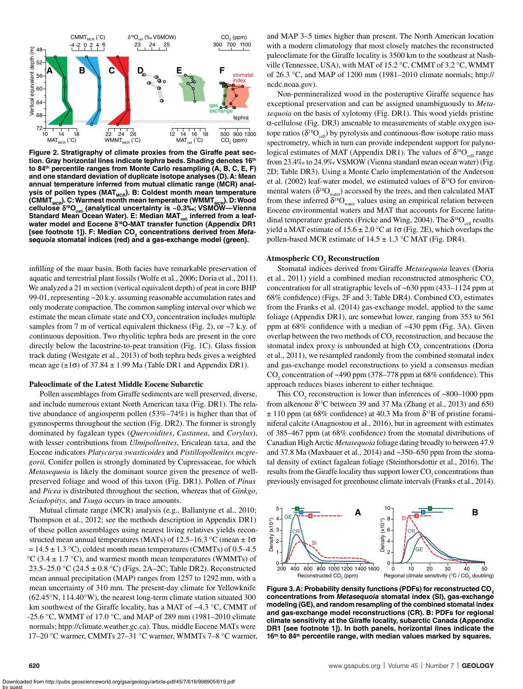

**Figure 2. Stratigraphy of climate proxies from the Giraffe peat section. Gray horizontal lines indicate tephra beds. Shading denotes 16th to 84th percentile ranges from Monte Carlo resampling (A, B, C, E, F) and one standard deviation of duplicate isotope analyses (D). A: Mean annual temperature inferred from mutual climatic range (MCR) anal**ysis of pollen types (MAT<sub>MCR</sub>). B: Coldest month mean temperature (CMMT<sub>MCR</sub>). C: Warmest month mean temperature (WMMT<sub>MCR</sub>). D: Wood cellulose δ<sup>18</sup>O<sub>cell</sub> (analytical uncertainty is ~0.3‰; VSMÖW—Vienna Standard Mean Ocean Water). E: Median MAT<sub>cell</sub> inferred from a leaf**water model and Eocene** δ**18O-MAT transfer function (Appendix DR1**  [see footnote 1]). F: Median CO<sub>2</sub> concentrations derived from Meta*sequoia* **stomatal indices (red) and a gas-exchange model (green).**

infilling of the maar basin. Both facies have remarkable preservation of aquatic and terrestrial plant fossils (Wolfe et al., 2006; Doria et al., 2011). We analyzed a 21 m section (vertical equivalent depth) of peat in core BHP 99-01, representing ~20 k.y. assuming reasonable accumulation rates and only moderate compaction. The common sampling interval over which we estimate the mean climate state and  $CO_2$  concentration includes multiple samples from 7 m of vertical equivalent thickness (Fig. 2), or ~7 k.y. of continuous deposition. Two rhyolitic tephra beds are present in the core directly below the lacustrine-to-peat transition (Fig. 1C). Glass fission track dating (Westgate et al., 2013) of both tephra beds gives a weighted mean age  $(\pm 1\sigma)$  of 37.84  $\pm$  1.99 Ma (Table DR1 and Appendix DR1).

### **Paleoclimate of the Latest Middle Eocene Subarctic**

Pollen assemblages from Giraffe sediments are well preserved, diverse, and include numerous extant North American taxa (Fig. DR1). The relative abundance of angiosperm pollen (53%–74%) is higher than that of gymnosperms throughout the section (Fig. DR2). The former is strongly dominated by fagalean types (*Quercoidites*, *Castanea*, and *Corylus*), with lesser contributions from *Ulmipollenites*, Ericalean taxa, and the Eocene indicators *Platycarya swasticoides* and *Pistillopollenites mcgregorii.* Conifer pollen is strongly dominated by Cupressaceae, for which *Metasequoia* is likely the dominant source given the presence of wellpreserved foliage and wood of this taxon (Fig. DR1). Pollen of *Pinus* and *Picea* is distributed throughout the section, whereas that of *Ginkgo*, *Sciadopitys*, and *Tsuga* occurs in trace amounts.

Mutual climate range (MCR) analysis (e.g., Ballantyne et al., 2010; Thompson et al., 2012; see the methods description in Appendix DR1) of these pollen assemblages using nearest living relatives yields reconstructed mean annual temperatures (MATs) of 12.5–16.3 °C (mean  $\pm 1\sigma$  $= 14.5 \pm 1.3$  °C), coldest month mean temperatures (CMMTs) of 0.5–4.5 °C (3.4  $\pm$  1.7 °C), and warmest month mean temperatures (WMMTs) of 23.5–25.0 °C (24.5 ± 0.8 °C) (Figs. 2A–2C; Table DR2). Reconstructed mean annual precipitation (MAP) ranges from 1257 to 1292 mm, with a mean uncertainty of 310 mm. The present-day climate for Yellowknife (62.45°N, 114.40°W), the nearest long-term climate station situated 300 km southwest of the Giraffe locality, has a MAT of −4.3 °C, CMMT of -25.6 °C, WMMT of 17.0 °C, and MAP of 289 mm (1981–2010 climate normals; htpp://climate.weather.gc.ca). Thus, middle Eocene MATs were 17–20 °C warmer, CMMTs 27–31 °C warmer, WMMTs 7–8 °C warmer, and MAP 3–5 times higher than present. The North American location with a modern climatology that most closely matches the reconstructed paleoclimate for the Giraffe locality is 3500 km to the southeast at Nashville (Tennessee, USA), with MAT of 15.2 °C, CMMT of 3.2 °C, WMMT of 26.3 °C, and MAP of 1200 mm (1981–2010 climate normals; http:// ncdc.noaa.gov).

Non-permineralized wood in the posteruptive Giraffe sequence has exceptional preservation and can be assigned unambiguously to *Metasequoia* on the basis of xylotomy (Fig. DR1). This wood yields pristine α-cellulose (Fig. DR3) amenable to measurements of stable oxygen isotope ratios ( $\delta^{18}O_{cell}$ ) by pyrolysis and continuous-flow isotope ratio mass spectrometry, which in turn can provide independent support for palynological estimates of MAT (Appendix DR1). The values of  $\delta^{18}O_{\text{cell}}$  range from 23.4‰ to 24.9‰ VSMOW (Vienna standard mean ocean water) (Fig. 2D; Table DR3). Using a Monte Carlo implementation of the Anderson et al. (2002) leaf-water model, we estimated values of  $\delta^{18}O$  for environmental waters ( $\delta^{18}O_{\text{water}}$ ) accessed by the trees, and then calculated MAT from these inferred  $\delta^{18}O_{\text{water}}$  values using an empirical relation between Eocene environmental waters and MAT that accounts for Eocene latitudinal temperature gradients (Fricke and Wing, 2004). The  $\delta^{18}O_{\text{cell}}$  results yield a MAT estimate of  $15.6 \pm 2.0$  °C at  $1\sigma$  (Fig. 2E), which overlaps the pollen-based MCR estimate of  $14.5 \pm 1.3$  °C MAT (Fig. DR4).

## **Atmospheric CO2 Reconstruction**

Stomatal indices derived from Giraffe *Metasequoia* leaves (Doria et al., 2011) yield a combined median reconstructed atmospheric CO<sub>2</sub> concentration for all stratigraphic levels of ~630 ppm (433–1124 ppm at 68% confidence) (Figs. 2F and 3; Table DR4). Combined  $CO_2$  estimates from the Franks et al. (2014) gas-exchange model, applied to the same foliage (Appendix DR1), are somewhat lower, ranging from 353 to 561 ppm at 68% confidence with a median of ~430 ppm (Fig. 3A). Given overlap between the two methods of  $\mathrm{CO}_2$  reconstruction, and because the stomatal index proxy is unbounded at high  $CO<sub>2</sub>$  concentrations (Doria et al., 2011), we resampled randomly from the combined stomatal index and gas-exchange model reconstructions to yield a consensus median CO<sub>2</sub> concentration of ~490 ppm (378–778 ppm at 68% confidence). This approach reduces biases inherent to either technique.

This  $CO_2$  reconstruction is lower than inferences of ~800–1000 ppm from alkenone  $\delta^{13}$ C between 39 and 37 Ma (Zhang et al., 2013) and 650  $\pm$  110 ppm (at 68% confidence) at 40.3 Ma from  $\delta$ <sup>11</sup>B of pristine foraminiferal calcite (Anagnostou et al., 2016), but in agreement with estimates of 385–467 ppm (at 68% confidence) from the stomatal distributions of Canadian High Arctic *Metasequoia* foliage dating broadly to between 47.9 and 37.8 Ma (Maxbauer et al., 2014) and ~350–650 ppm from the stomatal density of extinct fagalean foliage (Steinthorsdottir et al., 2016). The results from the Giraffe locality thus support lower  $\mathrm{CO}_2$  concentrations than previously envisaged for greenhouse climate intervals (Franks et al., 2014).



**Figure 3. A: Probability density functions (PDFs) for reconstructed CO2 concentrations from** *Metasequoia* **stomatal index (SI), gas-exchange modeling (GE), and random resampling of the combined stomatal index and gas-exchange model reconstructions (CR). B: PDFs for regional climate sensitivity at the Giraffe locality, subarctic Canada (Appendix DR1 [see footnote 1]). In both panels, horizontal lines indicate the 16th to 84th percentile range, with median values marked by squares.**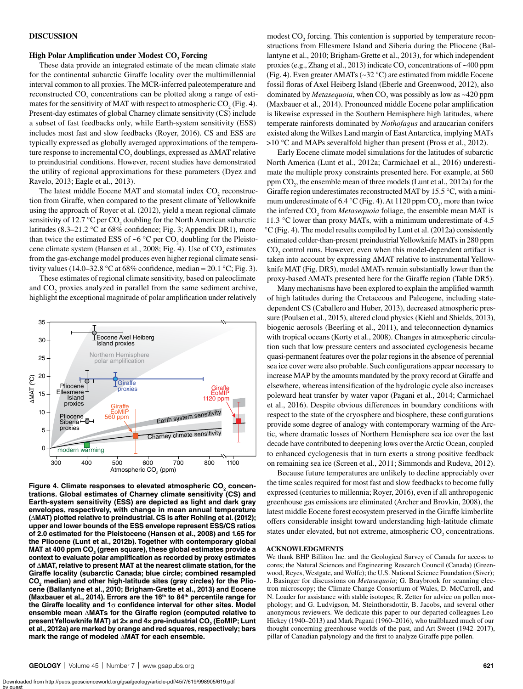## **DISCUSSION**

## $\boldsymbol{\mathrm{High}}$  Polar Amplification under Modest  $\boldsymbol{\mathrm{CO}_2}$  Forcing

These data provide an integrated estimate of the mean climate state for the continental subarctic Giraffe locality over the multimillennial interval common to all proxies. The MCR-inferred paleotemperature and reconstructed  $CO_2$  concentrations can be plotted along a range of estimates for the sensitivity of MAT with respect to atmospheric  $CO<sub>2</sub>$  (Fig. 4). Present-day estimates of global Charney climate sensitivity (CS) include a subset of fast feedbacks only, while Earth-system sensitivity (ESS) includes most fast and slow feedbacks (Royer, 2016). CS and ESS are typically expressed as globally averaged approximations of the temperature response to incremental CO<sub>2</sub> doublings, expressed as ∆MAT relative to preindustrial conditions. However, recent studies have demonstrated the utility of regional approximations for these parameters (Dyez and Ravelo, 2013; Eagle et al., 2013).

The latest middle Eocene MAT and stomatal index  $CO_2$  reconstruction from Giraffe, when compared to the present climate of Yellowknife using the approach of Royer et al. (2012), yield a mean regional climate sensitivity of 12.7 °C per  $\text{CO}_2$  doubling for the North American subarctic latitudes (8.3–21.2 °C at 68% confidence; Fig. 3; Appendix DR1), more than twice the estimated ESS of ~6  $\degree$ C per CO<sub>2</sub> doubling for the Pleistocene climate system (Hansen et al., 2008; Fig. 4). Use of  $CO<sub>2</sub>$  estimates from the gas-exchange model produces even higher regional climate sensitivity values (14.0–32.8 °C at 68% confidence, median = 20.1 °C; Fig. 3).

These estimates of regional climate sensitivity, based on paleoclimate and  $CO<sub>2</sub>$  proxies analyzed in parallel from the same sediment archive, highlight the exceptional magnitude of polar amplification under relatively



Figure 4. Climate responses to elevated atmospheric CO<sub>2</sub> concen**trations. Global estimates of Charney climate sensitivity (CS) and Earth-system sensitivity (ESS) are depicted as light and dark gray envelopes, respectively, with change in mean annual temperature (**∆**MAT) plotted relative to preindustrial. CS is after Rohling et al. (2012); upper and lower bounds of the ESS envelope represent ESS/CS ratios of 2.0 estimated for the Pleistocene (Hansen et al., 2008) and 1.65 for the Pliocene (Lunt et al., 2012b). Together with contemporary global**  MAT at 400 ppm CO<sub>2</sub> (green square), these global estimates provide a **context to evaluate polar amplification as recorded by proxy estimates of** ∆**MAT, relative to present MAT at the nearest climate station, for the Giraffe locality (subarctic Canada; blue circle; combined resampled**  CO<sub>2</sub> median) and other high-latitude sites (gray circles) for the Plio**cene (Ballantyne et al., 2010; Brigham-Grette et al., 2013) and Eocene (Maxbauer et al., 2014). Errors are the 16th to 84th percentile range for the Giraffe locality and 1**σ **confidence interval for other sites. Model ensemble mean** ∆**MATs for the Giraffe region (computed relative to present Yellowknife MAT) at 2x and 4x pre-industrial CO<sub>2</sub> (EoMIP; Lunt et al., 2012a) are marked by orange and red squares, respectively; bars mark the range of modeled** ∆**MAT for each ensemble.**

modest  $CO<sub>2</sub>$  forcing. This contention is supported by temperature reconstructions from Ellesmere Island and Siberia during the Pliocene (Ballantyne et al., 2010; Brigham-Grette et al., 2013), for which independent proxies (e.g., Zhang et al., 2013) indicate  $CO_2$  concentrations of ~400 ppm (Fig. 4). Even greater ∆MATs (~32 °C) are estimated from middle Eocene fossil floras of Axel Heiberg Island (Eberle and Greenwood, 2012), also dominated by *Metasequoia*, when  $CO_2$  was possibly as low as  $\sim$ 420 ppm (Maxbauer et al., 2014). Pronounced middle Eocene polar amplification is likewise expressed in the Southern Hemisphere high latitudes, where temperate rainforests dominated by *Nothofagus* and araucarian conifers existed along the Wilkes Land margin of East Antarctica, implying MATs >10 °C and MAPs severalfold higher than present (Pross et al., 2012).

Early Eocene climate model simulations for the latitudes of subarctic North America (Lunt et al., 2012a; Carmichael et al., 2016) underestimate the multiple proxy constraints presented here. For example, at 560 ppm CO<sub>2</sub>, the ensemble mean of three models (Lunt et al., 2012a) for the Giraffe region underestimates reconstructed MAT by 15.5 °C, with a minimum underestimate of 6.4 °C (Fig. 4). At 1120 ppm  $CO_2$ , more than twice the inferred CO<sub>2</sub> from *Metasequoia* foliage, the ensemble mean MAT is 11.3 °C lower than proxy MATs, with a minimum underestimate of 4.5 °C (Fig. 4). The model results compiled by Lunt et al. (2012a) consistently estimated colder-than-present preindustrial Yellowknife MATs in 280 ppm  $CO<sub>2</sub>$  control runs. However, even when this model-dependent artifact is taken into account by expressing ∆MAT relative to instrumental Yellowknife MAT (Fig. DR5), model ∆MATs remain substantially lower than the proxy-based ∆MATs presented here for the Giraffe region (Table DR5).

Many mechanisms have been explored to explain the amplified warmth of high latitudes during the Cretaceous and Paleogene, including statedependent CS (Caballero and Huber, 2013), decreased atmospheric pressure (Poulsen et al., 2015), altered cloud physics (Kiehl and Shields, 2013), biogenic aerosols (Beerling et al., 2011), and teleconnection dynamics with tropical oceans (Korty et al., 2008). Changes in atmospheric circulation such that low pressure centers and associated cyclogenesis became quasi-permanent features over the polar regions in the absence of perennial sea ice cover were also probable. Such configurations appear necessary to increase MAP by the amounts mandated by the proxy record at Giraffe and elsewhere, whereas intensification of the hydrologic cycle also increases poleward heat transfer by water vapor (Pagani et al., 2014; Carmichael et al., 2016). Despite obvious differences in boundary conditions with respect to the state of the cryosphere and biosphere, these configurations provide some degree of analogy with contemporary warming of the Arctic, where dramatic losses of Northern Hemisphere sea ice over the last decade have contributed to deepening lows over the Arctic Ocean, coupled to enhanced cyclogenesis that in turn exerts a strong positive feedback on remaining sea ice (Screen et al., 2011; Simmonds and Rudeva, 2012).

Because future temperatures are unlikely to decline appreciably over the time scales required for most fast and slow feedbacks to become fully expressed (centuries to millennia; Royer, 2016), even if all anthropogenic greenhouse gas emissions are eliminated (Archer and Brovkin, 2008), the latest middle Eocene forest ecosystem preserved in the Giraffe kimberlite offers considerable insight toward understanding high-latitude climate states under elevated, but not extreme, atmospheric  $CO_2$  concentrations.

#### **ACKNOWLEDGMENTS**

We thank BHP Billiton Inc. and the Geological Survey of Canada for access to cores; the Natural Sciences and Engineering Research Council (Canada) (Greenwood, Reyes, Westgate, and Wolfe); the U.S. National Science Foundation (Siver); J. Basinger for discussions on *Metasequoia*; G. Braybrook for scanning electron microscopy; the Climate Change Consortium of Wales, D. McCarroll, and N. Loader for assistance with stable isotopes; R. Zetter for advice on pollen morphology; and G. Ludvigson, M. Steinthorsdottir, B. Jacobs, and several other anonymous reviewers. We dedicate this paper to our departed colleagues Leo Hickey (1940–2013) and Mark Pagani (1960–2016), who trailblazed much of our thought concerning greenhouse worlds of the past, and Art Sweet (1942–2017), pillar of Canadian palynology and the first to analyze Giraffe pipe pollen.